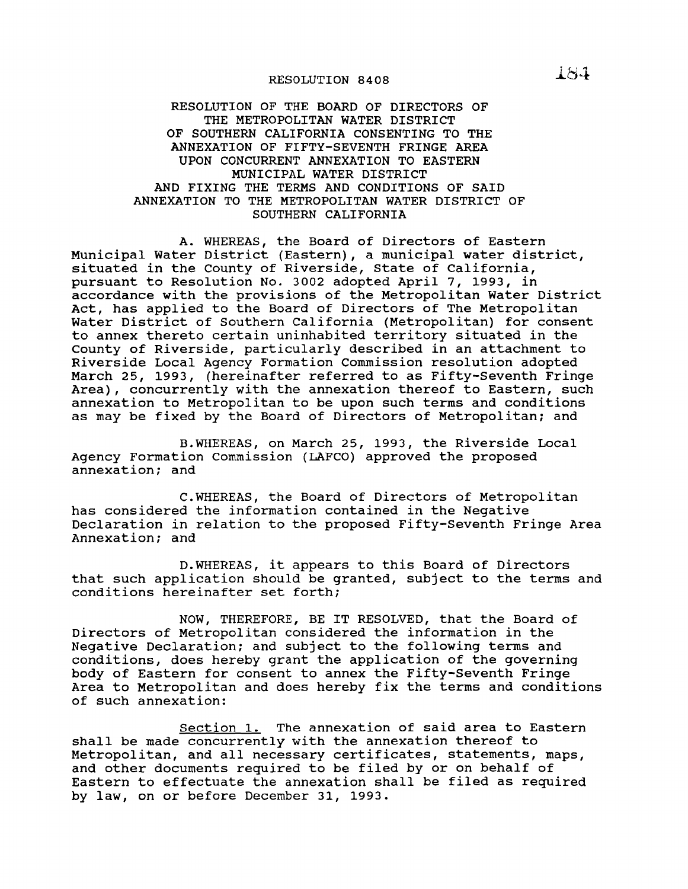## RESOLUTION 8408

## RESOLUTION OF THE BOARD OF DIRECTORS OF THE METROPOLITAN WATER DISTRICT OF SOUTHERN CALIFORNIA CONSENTING TO THE ANNEXATION OF FIFTY-SEVENTH FRINGE AREA UPON CONCURRENT ANNEXATION TO EASTERN MUNICIPAL WATER DISTRICT AND FIXING THE TERMS AND CONDITIONS OF SAID ANNEXATION TO THE METROPOLITAN WATER DISTRICT OF SOUTHERN CALIFORNIA

A. WHEREAS, the Board of Directors of Eastern Municipal Water District (Eastern), <sup>a</sup> municipal water district, situated in the County of Riverside, State of California, pursuant to Resolution No. 3002 adopted April 7, 1993, in accordance with the provisions of the Metropolitan Water District Act, has applied to the Board of Directors of The Metropolitan Water District of Southern California (Metropolitan) for consent to annex thereto certain uninhabited territory situated in the county of Riverside, particularly described in an attachment to Riverside Local Agency Formation Commission resolution adopted March 25, 1993, (hereinafter referred to as Fifty-seventh Fringe Area), concurrently with the annexation thereof to Eastern, such annexation to Metropolitan to be upon such terms and conditions as may be fixed by the Board of Directors of Metropolitan; and

B.WHEREAS, on March 25, 1993, the Riverside Local Agency Formation commission (LAFCO) approved the proposed annexation; and

C.WHEREAS, the Board of Directors of Metropolitan has considered the information contained in the Negative Declaration in relation to the proposed Fifty-Seventh Fringe Area Annexation; and

D.WHEREAS, it appears to this Board of Directors that such application should be granted, subject to the terms and conditions hereinafter set forth;

NOW, THEREFORE, BE IT RESOLVED, that the Board of Directors of Metropolitan considered the information in the Negative Declaration; and subject to the following terms and conditions, does hereby grant the application of the governing body of Eastern for consent to annex the Fifty-Seventh Fringe Area to Metropolitan and does hereby fix the terms and conditions of such annexation:

Section 1. The annexation of said area to Eastern shall be made concurrently with the annexation thereof to Metropolitan, and all necessary certificates, statements, maps, and other documents required to be filed by or on behalf of Eastern to effectuate the annexation shall be filed as required by law, on or before December 31, 1993.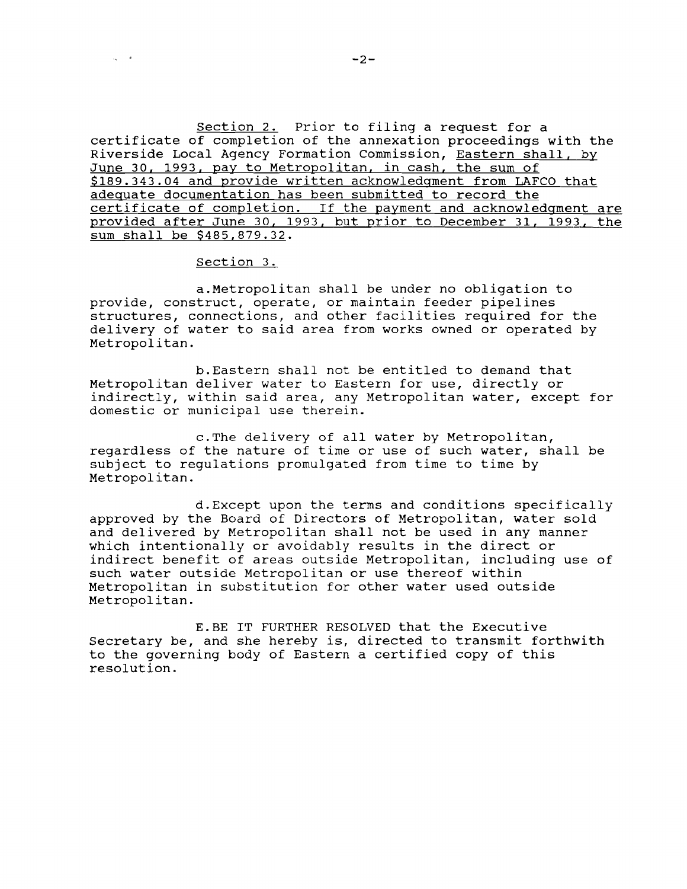Section 2. Prior to filing a request for a certificate of completion of the annexation proceedings with the Riverside Local Agency Formation Commission, Eastern shall, by June 30, 1993, pay to Metropolitan, in cash, the sum of \$189.343.04 and provide written acknowledgment from LAFCO that adequate documentation has been submitted to record the certificate of completion. If the payment and acknowledgment are provided after June 30, 1993, but prior to December 31, 1993, the sum shall be \$485,879.32.

## section 3.

 $\omega_{\rm c} = -4$ 

a.Metropolitan shall be under no obligation to provide, construct, operate, or maintain feeder pipelines structures, connections, and other facilities required for the delivery of water to said area from works owned or operated by Metropolitan.

b.Eastern shall not be entitled to demand that Metropolitan deliver water to Eastern for use, directly or indirectly, within said area, any Metropolitan water, except for domestic or municipal use therein.

c.The delivery of all water by Metropolitan, regardless of the nature of time or use of such water, shall be subject to regulations promulgated from time to time by Metropolitan.

d.Except upon the terms and conditions specifically approved by the Board of Directors of Metropolitan, water sold and delivered by Metropolitan shall not be used in any manner which intentionally or avoidably results in the direct or indirect benefit of areas outside Metropolitan, including use of such water outside Metropolitan or use thereof within Metropolitan in substitution for other water used outside Metropolitan.

E.BE IT FURTHER RESOLVED that the Executive Secretary be, and she hereby is, directed to transmit forthwith to the governing body of Eastern <sup>a</sup> certified copy of this resolution.